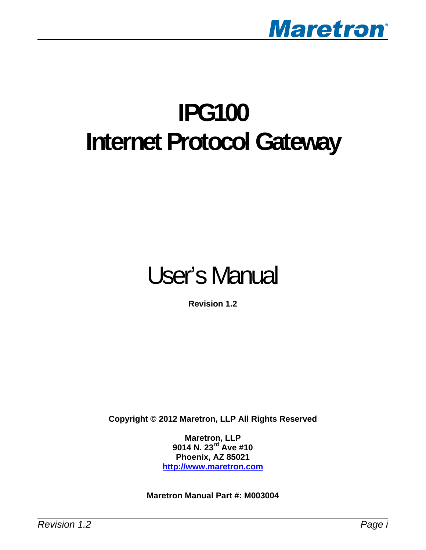

# **IPG100 Internet Protocol Gateway**

# User's Manual

**Revision 1.2** 

**Copyright © 2012 Maretron, LLP All Rights Reserved** 

**Maretron, LLP 9014 N. 23rd Ave #10 Phoenix, AZ 85021 [http://www.maretron.com](http://www.maretron.com/)**

**Maretron Manual Part #: M003004**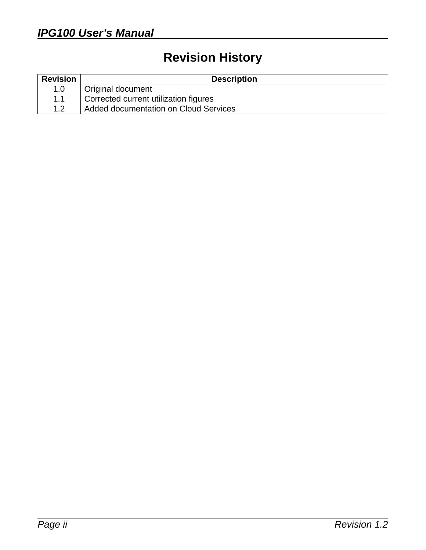# **Revision History**

| <b>Revision</b> | <b>Description</b>                           |
|-----------------|----------------------------------------------|
| 1.0             | <b>Original document</b>                     |
| 11              | Corrected current utilization figures        |
| 1.2             | <b>Added documentation on Cloud Services</b> |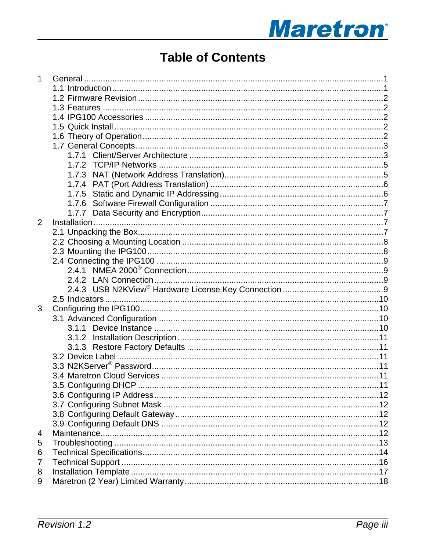# **Maretron**®

# **Table of Contents**

| 1              |  |
|----------------|--|
|                |  |
|                |  |
|                |  |
|                |  |
|                |  |
|                |  |
|                |  |
|                |  |
|                |  |
|                |  |
|                |  |
|                |  |
|                |  |
|                |  |
| $\overline{2}$ |  |
|                |  |
|                |  |
|                |  |
|                |  |
|                |  |
|                |  |
|                |  |
|                |  |
|                |  |
| 3              |  |
|                |  |
|                |  |
|                |  |
|                |  |
|                |  |
|                |  |
|                |  |
|                |  |
|                |  |
|                |  |
|                |  |
|                |  |
| 4              |  |
| 5              |  |
| 6              |  |
| $\overline{7}$ |  |
| 8              |  |
| 9              |  |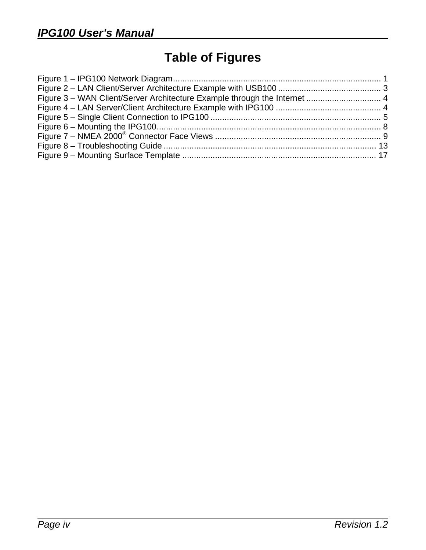# **Table of Figures**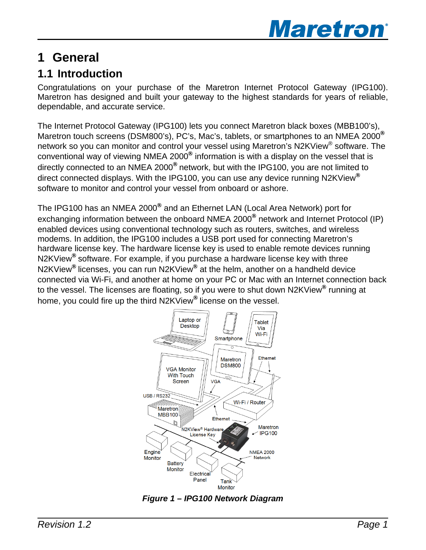

# <span id="page-4-0"></span>**1 General**

## **1.1 Introduction**

Congratulations on your purchase of the Maretron Internet Protocol Gateway (IPG100). Maretron has designed and built your gateway to the highest standards for years of reliable, dependable, and accurate service.

The Internet Protocol Gateway (IPG100) lets you connect Maretron black boxes (MBB100's), Maretron touch screens (DSM800's), PC's, Mac's, tablets, or smartphones to an NMEA 2000<sup>®</sup> network so you can monitor and control your vessel using Maretron's N2KView<sup>®</sup> software. The conventional way of viewing NMEA 2000® information is with a display on the vessel that is directly connected to an NMEA 2000<sup>®</sup> network, but with the IPG100, you are not limited to direct connected displays. With the IPG100, you can use any device running N2KView<sup>®</sup> software to monitor and control your vessel from onboard or ashore.

The IPG100 has an NMEA 2000® and an Ethernet LAN (Local Area Network) port for exchanging information between the onboard NMEA 2000® network and Internet Protocol (IP) enabled devices using conventional technology such as routers, switches, and wireless modems. In addition, the IPG100 includes a USB port used for connecting Maretron's hardware license key. The hardware license key is used to enable remote devices running N2KView<sup>®</sup> software. For example, if you purchase a hardware license key with three N2KView<sup>®</sup> licenses, you can run N2KView<sup>®</sup> at the helm, another on a handheld device connected via Wi-Fi, and another at home on your PC or Mac with an Internet connection back to the vessel. The licenses are floating, so if you were to shut down N2KView<sup>®</sup> running at home, you could fire up the third N2KView<sup>®</sup> license on the vessel.



*Figure 1 – IPG100 Network Diagram*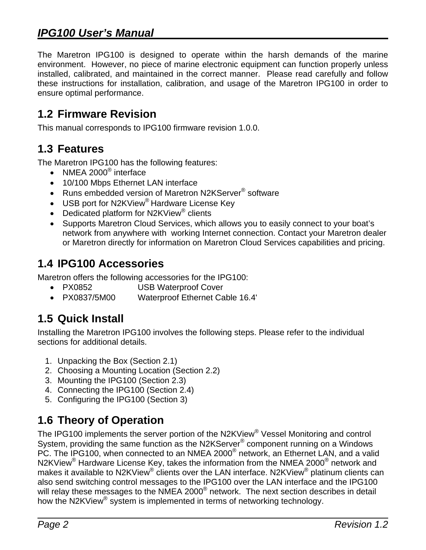<span id="page-5-0"></span>The Maretron IPG100 is designed to operate within the harsh demands of the marine environment. However, no piece of marine electronic equipment can function properly unless installed, calibrated, and maintained in the correct manner. Please read carefully and follow these instructions for installation, calibration, and usage of the Maretron IPG100 in order to ensure optimal performance.

#### **.2 Firmware Revision 1**

This manual corresponds to IPG100 firmware revision 1.0.0.

#### **.3 Features 1**

The Maretron IPG100 has the following features:

- $\bullet$  NMEA 2000<sup>®</sup> interface
- 10/100 Mbps Ethernet LAN interface
- Runs embedded version of Maretron N2KServer<sup>®</sup> software
- USB port for N2KView<sup>®</sup> Hardware License Key
- Dedicated platform for N2KView $^{\circ}$  clients
- Supports Maretron Cloud Services, which allows you to easily connect to your boat's network from anywhere with working Internet connection. Contact your Maretron dealer or Maretron directly for information on Maretron Cloud Services capabilities and pricing.

### **1.4 IPG100 Accessories**

Maretron offers the following accessories for the IPG100:

- PX0852 USB Waterproof Cover
- PX0837/5M00 Waterproof Ethernet Cable 16.4'

## **.5 Quick Install 1**

Installing the Maretron IPG100 involves the following steps. Please refer to the individual sections for additional details.

- 1. Unpacking the Box (Section 2.1)
- 2. Choosing a Mounting Location (Section 2.2)
- 3. Mounting the IPG100 (Section [2.3\)](#page-11-1)
- 4. Connecting the IPG100 (Section [2.4](#page-11-2)[\)](#page-11-1)
- 5. Configuring the IPG100 (Section [3\)](#page-12-1)

## **.6 Theory of Operation 1**

The IPG100 implements the server portion of the N2KView<sup>®</sup> Vessel Monitoring and control **System** providing the same function as the N2KServer® companent running an a Windows System, providing the same function as the N2KServer<sup>®</sup> component running on a Windows PC. The IPG100, when connected to an NMEA 2000<sup>®</sup> network, an Ethernet LAN, and a valid N2KView<sup>®</sup> Hardware License Key, takes the information from the NMEA 2000<sup>®</sup> network and makes it available to N2KView<sup>®</sup> clients over the LAN interface. N2KView<sup>®</sup> platinum clients can also send switching control messages to the IPG100 over the LAN interface and the IPG100 will relay these messages to the NMEA 2000<sup>®</sup> network. The next section describes in detail how the N2KView<sup>®</sup> system is implemented in terms of networking technology.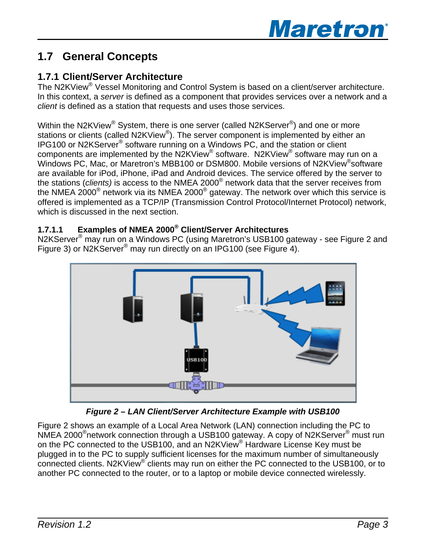## <span id="page-6-0"></span>**1.7 General Concepts**

#### **1.7.1 Client/Server Architecture**

The N2KView® Vessel Monitoring and Control System is based on a client/server architecture. In this context, a *server* is defined as a component that provides services over a network and a *client* is defined as a station that requests and uses those services.

Within the N2KView<sup>®</sup> System, there is one server (called N2KServer<sup>®</sup>) and one or more stations or clients (called N2KView®). The server component is implemented by either an IPG100 or N2KServer® software running on a Windows PC, and the station or client components are implemented by the N2KView® software. N2KView® software may run on a Windows PC, Mac, or Maretron's MBB100 or DSM800. Mobile versions of N2KView<sup>®</sup>software are available for iPod, iPhone, iPad and Android devices. The service offered by the server to the stations (*clients)* is access to the NMEA 2000® network data that the server receives from the NMEA 2000 $^{\circ}$  network via its NMEA 2000 $^{\circ}$  gateway. The network over which this service is offered is implemented as a TCP/IP (Transmission Control Protocol/Internet Protocol) network, which is discussed in the next section.

#### **1.7.1.1 Examples of NMEA 2000® Client/Server Architectures**

N2KServer® may run on a Windows PC (using Maretron's USB100 gateway - see Figure 2 and Figure 3) or N2KServer® may run directly on an IPG100 (see Figure 4).



*Figure 2 – LAN Client/Server Architecture Example with USB100* 

<span id="page-6-1"></span>Figure 2 shows an example of a Local Area Network (LAN) connection including the PC to NMEA 2000®network connection through a USB100 gateway. A copy of N2KServer® must run on the PC connected to the USB100, and an N2KView® Hardware License Key must be plugged in to the PC to supply sufficient licenses for the maximum number of simultaneously connected clients. N2KView® clients may run on either the PC connected to the USB100, or to another PC connected to the router, or to a laptop or mobile device connected wirelessly.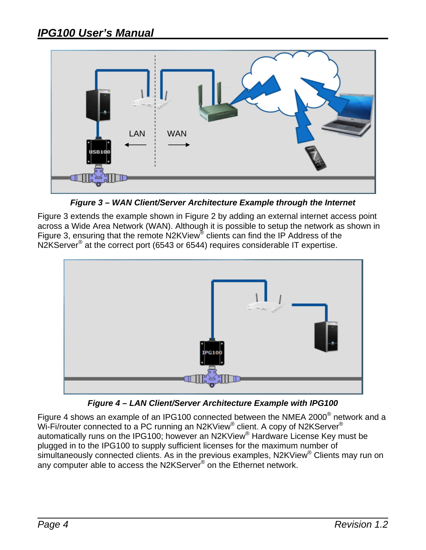<span id="page-7-0"></span>

*Figure 3 – WAN Client/Server Architecture Example through the Internet* 

Figure 3 extends the example shown in Figure 2 by adding an external internet access point across a Wide Area Network (WAN). Although it is possible to setup the network as shown in [Figure 3,](#page-6-1) ensuring that the remote N2KView clients can find the IP Address of the N2KServer<sup>®</sup> at the correct port (6543 or 6544) requires considerable IT expertise.



*Figure 4 – LAN Client/Server Architecture Example with IPG100* 

Figure 4 shows an example of an IPG100 connected between the NMEA 2000 $^{\circ}$  network and a Wi-Fi/router connected to a PC running an N2KView® client. A copy of N2KServer® automatically runs on the IPG100; however an N2KView® Hardware License Key must be plugged in to the IPG100 to supply sufficient licenses for the maximum number of simultaneously connected clients. As in the previous examples, N2KView<sup>®</sup> Clients may run on any computer able to access the N2KServer<sup>®</sup> on the Ethernet network.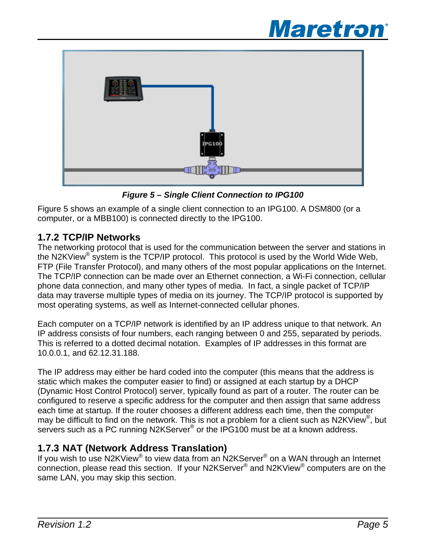# **Maretron**®

<span id="page-8-0"></span>

*Figure 5 – Single Client Connection to IPG100* 

Figure 5 shows an example of a single client connection to an IPG100. A DSM800 (or a computer, or a MBB100) is connected directly to the IPG100.

#### **1.7.2 TCP/IP Networks**

The networking protocol that is used for the communication between the server and stations in the N2KView $^{\circledR}$  system is the TCP/IP protocol. This protocol is used by the World Wide Web, FTP (File T ransfer Protocol), and many others of the most popular applications on the Internet. The TCP/IP connection can be made over an Ethernet connection, a Wi-Fi connection, cellular most opera ting systems, as well as Internet-connected cellular phones. phone data connection, and many other types of media. In fact, a single packet of TCP/IP data may traverse multiple types of media on its journey. The TCP/IP protocol is supported by

Each computer on a TCP/IP network is identified by an IP address unique to that network. An IP address consists of four numbers, each ranging between 0 and 255, separated by periods. This is referred to a dotted decimal notation. Examples of IP addresses in this format are 10.0.0.1, and 62.12.31.188.

The IP address may either be hard coded into the computer (this means that the address is configured to reserve a specific address for the computer and then assign that same address static which makes the computer easier to find) or assigned at each startup by a DHCP (Dynamic Host Control Protocol) server, typically found as part of a router. The router can be each time at startup. If the router chooses a different address each time, then the computer may be difficult to find on the network. This is not a problem for a client such as N2KView®, but servers such as a PC running N2KServer® or the IPG100 must be at a known address.

#### **1.7.3 NAT (Network Address Translation)**

connection, please read this section. If your N2KServer<sup>®</sup> and N2KView<sup>®</sup> computers are on the same LAN, you may skip this section. If you wish to use N2KView<sup>®</sup> to view data from an N2KServer<sup>®</sup> on a WAN through an Internet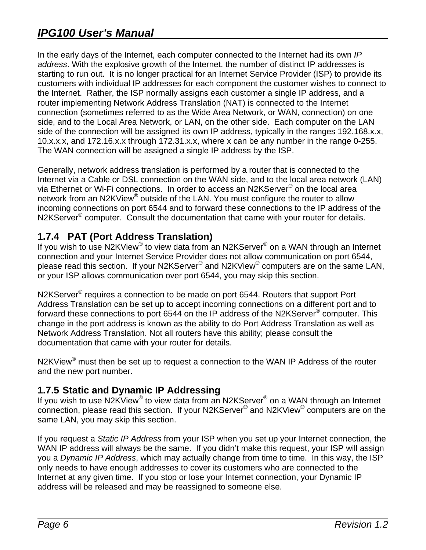<span id="page-9-0"></span>side of the connection will be assigned its own IP address, typically in the ranges 192.168.x.x, 10.x. x.x, and 172.16.x.x through 172.31.x.x, where x can be any number in the range 0-255. In the early days of the Internet, each computer connected to the Internet had its own *IP address*. With the explosive growth of the Internet, the number of distinct IP addresses is starting to run out. It is no longer practical for an Internet Service Provider (ISP) to provide its customers with individual IP addresses for each component the customer wishes to connect to the Internet. Rather, the ISP normally assigns each customer a single IP address, and a router implementing Network Address Translation (NAT) is connected to the Internet connection (sometimes referred to as the Wide Area Network, or WAN, connection) on one side, and to the Local Area Network, or LAN, on the other side. Each computer on the LAN The WAN connection will be assigned a single IP address by the ISP.

via Ethernet or Wi-Fi connections. In order to access an N2KServer® on the local area network from an N2KView $^{\circledR}$  outside of the LAN. You must configure the router to allow incoming connections on port 6544 and to forward these connections to the IP address of the N2KServer<sup>®</sup> computer. Consult the documentation that came with your router for details. Generally, network address translation is performed by a router that is connected to the Internet via a Cable or DSL connection on the WAN side, and to the local area network (LAN)

#### **1.7.4 PAT (Port Address Translation)**

If you wish to use N2KView<sup>®</sup> to view data from an N2KServer<sup>®</sup> on a WAN through an Internet connection and your Internet Service Provider does not allow communication on port 6544, please read this section. If your N2KServer<sup>®</sup> and N2KView<sup>®</sup> computers are on the same LAN, or your ISP allows communication over port 6544, you may skip this section.

Address Translation can be set up to accept incoming connections on a different port and to forward these connections to port 6544 on the IP address of the N2KServer® computer. This N2KServer<sup>®</sup> requires a connection to be made on port 6544. Routers that support Port change in the port address is known as the ability to do Port Address Translation as well as Network Address Translation. Not all routers have this ability; please consult the documentation that came with your router for details.

N2KView $^{\circledR}$  must then be set up to request a connection to the WAN IP Address of the router and the new port number.

#### **1.7.5 Static and Dynamic IP Addressing**

connection, please read this section. If your N2KServer® and N2KView® computers are on the If you wish to use N2KView® to view data from an N2KServer® on a WAN through an Internet same LAN, you may skip this section.

If you request a *Static IP Address* from your ISP when you set up your Internet connection, the WAN IP address will always be the same. If you didn't make this request, your ISP will assign Internet at any given time. If you stop or lose your Internet connection, your Dynamic IP address will be released and may be reassigned to someone else. you a *Dynamic IP Address*, which may actually change from time to time. In this way, the ISP only needs to have enough addresses to cover its customers who are connected to the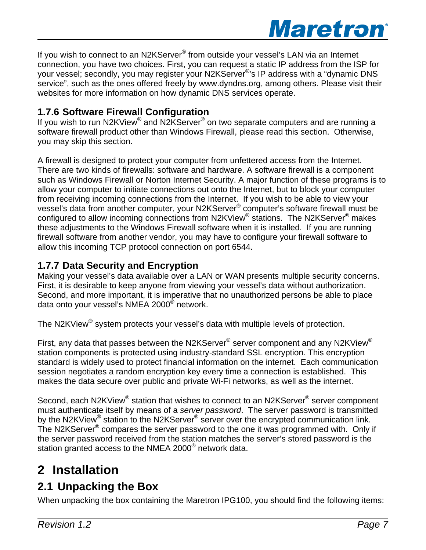

<span id="page-10-0"></span>If you wish to connect to an N2KServer<sup>®</sup> from outside your vessel's LAN via an Internet connection, you have two choices. First, you can request a static IP address from the ISP for your vessel; secondly, you may register your N2KServer®'s IP address with a "dynamic DNS service", such as the ones offered freely by www.dyndns.org, among others. Please visit their websites for more information on how dynamic DNS services operate.

#### **1.7.6 Software Firewall Configuration**

If you wish to run N2KView<sup>®</sup> and N2KServer<sup>®</sup> on two separate computers and are running a software firewall product other than Windows Firewall, please read this section. Otherwise, you may skip this section.

A fire wall is designed to protect your computer from unfettered access from the Internet. There are two kinds of firewalls: software and hardware. A software firewall is a component allow your computer to initiate connections out onto the Internet, but to block your computer from receiving incoming connections from the Internet. If you wish to be able to view your configured to allow incoming connections from N2KView<sup>®</sup> stations. The N2KServer<sup>®</sup> makes these adjustments to the Windows Firewall software when it is installed. If you are running firewall software from another vendor, you may have to configure your firewall software to such as Windows Firewall or Norton Internet Security. A major function of these programs is to vessel's data from another computer, your N2KServer® computer's software firewall must be allow this incoming TCP protocol connection on port 6544.

#### **1.7.7 Data Security and Encryption**

Making your vessel's data available over a LAN or WAN presents multiple security concerns. First, it is desirable to keep anyone from viewing your vessel's data without authorization. Second, and more important, it is imperative that no unauthorized persons be able to place data onto your vessel's NMEA 2000<sup>®</sup> network.

The N2KView<sup>®</sup> system protects your vessel's data with multiple levels of protection.

First, any data that passes between the N2KServer® server component and any N2KView® station components is protected using industry-standard SSL encryption. This encryption session negotiates a random encryption key every time a connection is established. This makes the data secure over public and private Wi-Fi networks, as well as the internet. standard is widely used to protect financial information on the internet. Each communication

by the N2KView<sup>®</sup> station to the N2KServer<sup>®</sup> server over the encrypted communication link. The N2KServer $\mathcal P$  compares the server password to the one it was programmed with. Only if Second, each N2KView<sup>®</sup> station that wishes to connect to an N2KServer<sup>®</sup> server component must authenticate itself by means of a *server password*. The server password is transmitted the server password received from the station matches the server's stored password is the station granted access to the NMEA 2000<sup>®</sup> network data.

## **2 Installation 2.1 Unpacking the Box**

When unpacking the box containing the Maretron IPG100, you should find the following items: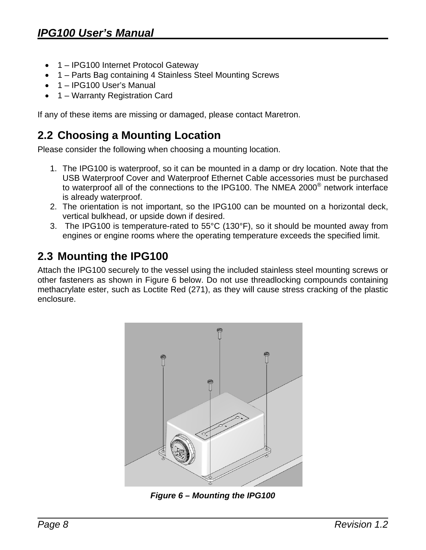- <span id="page-11-0"></span>• 1 – IPG100 Internet Protocol Gateway
- 1 Parts Bag containing 4 Stainless Steel Mounting Screws
- 1 IPG100 User's Manual
- 1 Warranty Registration Card

If any of these items are missing or damaged, please contact Maretron.

### <span id="page-11-1"></span>**2.2 Choosing a Mounting Location**

Please consider the following when choosing a mounting location.

- 1. The IPG100 is waterproof, so it can be mounted in a damp or dry location. Note that the to waterproof all of the connections to the IPG100. The NMEA 2000 $^{\circ}$  network interface USB Waterproof Cover and Waterproof Ethernet Cable accessories must be purchased is already waterproof.
- 2. The orientation is not important, so the IPG100 can be mounted on a horizontal deck, vertical bulkhead, or upside down if desired.
- 3. The IPG100 is temperature-rated to 55°C (130°F), so it should be mounted away from engines or engine rooms where the operating temperature exceeds the specified limit.

## <span id="page-11-2"></span>**2.3 Mounting the IPG100**

methacrylate ester, such as Loctite Red (271), as they will cause stress cracking of the plastic Attach the IPG100 securely to the vessel using the included stainless steel mounting screws or other fasteners as shown in Figure 6 below. Do not use threadlocking compounds containing enclosure.



*Figure 6 – Mounting the IPG100*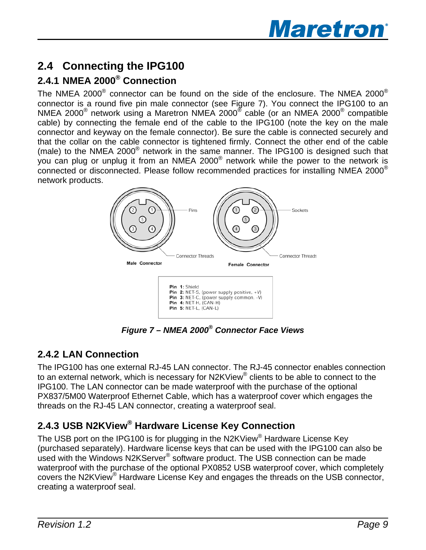

## <span id="page-12-1"></span><span id="page-12-0"></span>**2.4 Connecting the IPG100**

#### **2.4.1 NMEA 2000 Connec ® tion**

The NMEA 2000 $^{\circ}$  connector can be found on the side of the enclosure. The NMEA 2000 $^{\circ}$ onnector is a round five pin male connector (see Figure 7). You connect the IPG100 to an c NMEA 2000<sup>®</sup> network using a Maretron NMEA 2000<sup>®</sup> cable (or an NMEA 2000<sup>®</sup> compatible cable) by connecting the female end of the cable to the IPG100 (note the key on the male connector and keyway on the female connector). Be sure the cable is connected securely and that the collar on the cable connector is tightened firmly. Connect the other end of the cable (male) to the NMEA 2000 $^\circ$  network in the same manner. The IPG100 is designed such that you can plug or unplug it from an NMEA 2000 $^{\circ}$  network while the power to the network is connected or disconnected. Please follow recommended practices for installing NMEA 2000® network products.



*Figure 7 – NMEA 2000® Connector Face Views* 

#### **2.4.2 LAN Connection**

The IPG100 has one external RJ-45 LAN connector. The RJ-45 connector enables connection to an external network, which is necessary for N2KView® clients to be able to connect to the IPG100. The LAN connector can be made waterproof with the purchase of the optional PX837/5M00 Waterproof Ethernet Cable, which has a waterproof cover which engages the threads on the RJ-45 LAN connector, creating a waterproof seal.

#### **2.4.3 USB N2KView® Hardware License Key Connection**

The USB port on the IPG100 is for plugging in the N2KView® Hardware License Key (purchased separately). Hardware license keys that can be used with the IPG100 can also be used with the Windows N2KServer<sup>®</sup> software product. The USB connection can be made waterproof with the purchase of the optional PX0852 USB waterproof cover, which completely covers the N2KView® Hardware License Key and engages the threads on the USB connector, creating a waterproof seal.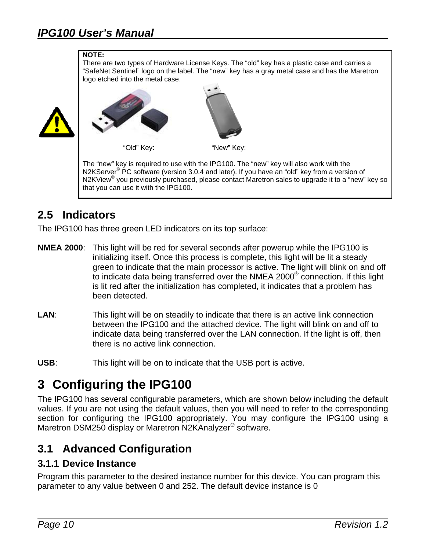#### <span id="page-13-0"></span>**NOTE:**

There are two types of Hardware License Keys. The "old" key has a plastic case and carries a "SafeNet Sentinel" logo on the label. The "new" key has a gray metal case and has the Maretron logo etched into the metal case.





N2KView<sup>®</sup> you previously purchased, please contact Maretron sales to upgrade it to a "new" key so that you can use it with the IPG100. "Old" Key: "New" Key: The "new" key is required to use with the IPG100. The "new" key will also work with the N2KServer<sup>®</sup> PC software (version 3.0.4 and later). If you have an "old" key from a version of

#### **2.5 Indicators**

The IPG100 has three green LED indicators on its top surface:

- **NMEA 2000**: This light will be red for several seconds after powerup while the IPG100 is initializing itself. Once this process is complete, this light will be lit a steady green to indicate that the main processor is active. The light will blink on and off to indicate data being transferred over the NMEA 2000® connection. If this light is lit red after the initialization has completed, it indicates that a problem has been detected.
- **LAN:** This light will be on steadily to indicate that there is an active link connection between the IPG100 and the attached device. The light will blink on and off to indicate data being transferred over the LAN connection. If the light is off, then there is no active link connection.
- **USB**: This light will be on to indicate that the USB port is active.

## **3 Configuring the IPG100**

The IPG100 has several configurable parameters, which are shown below including the default values. If you are not using the default values, then you will need to refer to the corresponding section for configuring the IPG100 appropriately. You may configure the IPG100 using a Maretron DSM250 display or Maretron N2KAnalyzer<sup>®</sup> software.

#### **3.1 Advanced Configuration**

#### **3.1.1 Device Instance**

parameter to any value between 0 and 252. The default device instance is 0 Program this parameter to the desired instance number for this device. You can program this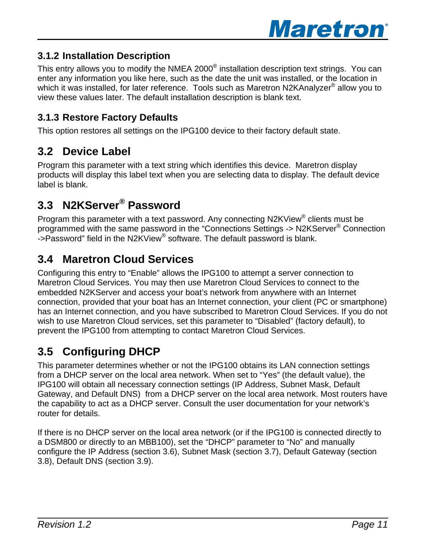

#### <span id="page-14-0"></span>**3.1.2 Installation Description**

This entry allows you to modify the NMEA 2000 $^{\circ}$  installation description text strings. You can enter any information you like here, such as the date the unit was installed, or the location in which it was installed, for later reference. Tools such as Maretron N2KAnalyzer<sup>®</sup> allow you to view these values later. The default installation description is blank text.

#### **3.1.3 Restore Factory Defaults**

This option restores all settings on the IPG100 device to their factory default state.

#### **3.2 De vice Label**

Program this parameter with a text string which identifies this device. Maretron display products wil l display this label text when you are selecting data to display. The default device label is blan k.

## **3.3 N2K Server® Password**

Program this parameter with a text password. Any connecting N2KView® clients must be programmed with the same password in the "Connections Settings -> N2KServer® Connection programmed with the same password in the "Connections Settings -> N2KServ<br>->Password" field in the N2KView<sup>®</sup> software. The default password is blank.

#### **3.4 Maretron Cloud Services**

Configuring thi s entry to "Enable" allows the IPG100 to attempt a server connection to Maretron Cloud Services. You may then use Maretron Cloud Services to connect to the embedded N2K Server and access your boat's network from anywhere with an Internet connection, provided that your boat has an Internet connection, your client (PC or smartphone) has an Internet connection, and you have subscribed to Maretron Cloud Services. If you do not wish to use Maretron Cloud services, set this parameter to "Disabled" (factory default), to prevent the IPG100 from attempting to contact Maretron Cloud Services.

## **3.5 Confi guring DHCP**

This parameter determines whether or not the IPG100 obtains its LAN connection settings from a DHCP server on the local area network. When set to "Yes" (the default value), the IPG100 will obtain all necessary connection settings (IP Address, Subnet Mask, Default Gateway, and Default DNS) from a DHCP server on the local area network. Most routers have the capability to act as a DHCP server. Consult the user documentation for your network's router for details.

a DSM800 or directly to an MBB100), set the "DHCP" parameter to "No" and manually onfigure the IP Address (section 3.6), Subnet Mask (section 3.7), Default Gateway (section c If there is no DHCP server on the local area network (or if the IPG100 is connected directly to 3.8), Default DNS (section 3.9).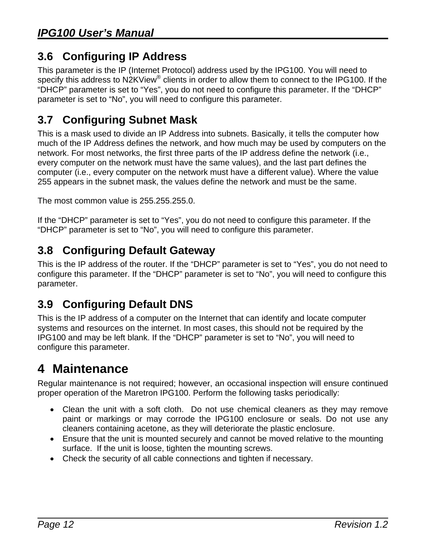## <span id="page-15-0"></span>**.6 Configuring IP Address 3**

This parameter is the IP (Internet Protocol) address used by the IPG100. You will need to specify this address to N2KView<sup>®</sup> clients in order to allow them to connect to the IPG100. If the "DHCP" parameter is set to "Yes", you do not need to configure this parameter. If the "DHCP" parameter is set to "No", you will need to configure this parameter.

## **sk 3.7 Configuring Subnet Ma**

much of the IP Address defines the network, and how much may be used by computers on the network. For most networks, the first three parts of the IP address define the network (i.e., every computer on the network must have the same values), and the last part defines the computer (i.e., every computer on the network must have a different value). Where the value This is a mask used to divide an IP Address into subnets. Basically, it tells the computer how 255 appears in the subnet mask, the values define the network and must be the same.

The most common value is 255.255.255.0.

If the "DHCP" parameter is set to "Yes", you do not need to configure this parameter. If the "DHCP" parameter is set to "No", you will need to configure this parameter.

## **3.8 Configuring Default Gateway**

This is the IP address of the router. If the "DHCP" parameter is set to "Yes", you do not need to configure this parameter. If the "DHCP" parameter is set to "No", you will need to configure this parameter.

## **3.9 Configuring Default DNS**

This is the IP address of a computer on the Internet that can identify and locate computer systems and resources on the internet. In most cases, this should not be required by the IPG100 and may be left blank. If the "DHCP" parameter is set to "No", you will need to configure this parameter.

# **4 Maintenance**

Regular maintenance is not required; however, an occasional inspection will ensure continued proper operation of the Maretron IPG100. Perform the following tasks periodically:

- paint or markings or may corrode the IPG100 enclosure or seals. Do not use any cleaners containing acetone, as they will deteriorate the plastic enclosure. • Clean the unit with a soft cloth. Do not use chemical cleaners as they may remove
- Ensure that the unit is mounted securely and cannot be moved relative to the mounting surface. If the unit is loose, tighten the mounting screws.
- Check the security of all cable connections and tighten if necessary.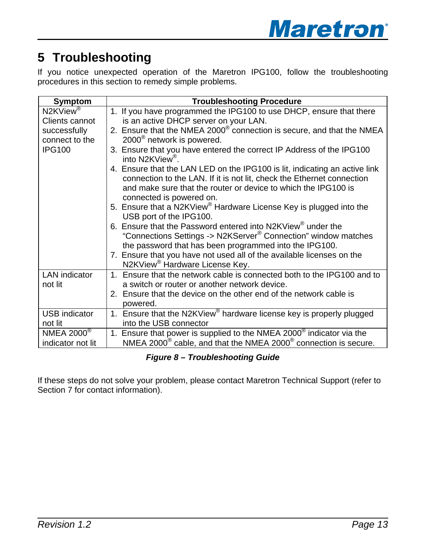# <span id="page-16-0"></span>**5 Troubleshooting**

If you notice unexpected operation of the Maretron IPG100, follow the troubleshoo ting procedures in this section to remedy simple problems.

| <b>Symptom</b>       | <b>Troubleshooting Procedure</b>                                                                                                                                                                                                                                                                                                       |
|----------------------|----------------------------------------------------------------------------------------------------------------------------------------------------------------------------------------------------------------------------------------------------------------------------------------------------------------------------------------|
| N2KView <sup>®</sup> | 1. If you have programmed the IPG100 to use DHCP, ensure that there                                                                                                                                                                                                                                                                    |
| Clients cannot       | is an active DHCP server on your LAN.                                                                                                                                                                                                                                                                                                  |
| successfully         | 2. Ensure that the NMEA 2000 <sup>®</sup> connection is secure, and that the NMEA                                                                                                                                                                                                                                                      |
| connect to the       | 2000 <sup>®</sup> network is powered.                                                                                                                                                                                                                                                                                                  |
| <b>IPG100</b>        | 3. Ensure that you have entered the correct IP Address of the IPG100<br>into N2KView <sup>®</sup> .                                                                                                                                                                                                                                    |
|                      | 4. Ensure that the LAN LED on the IPG100 is lit, indicating an active link<br>connection to the LAN. If it is not lit, check the Ethernet connection<br>and make sure that the router or device to which the IPG100 is<br>connected is powered on.                                                                                     |
|                      | 5. Ensure that a N2KView <sup>®</sup> Hardware License Key is plugged into the<br>USB port of the IPG100.                                                                                                                                                                                                                              |
|                      | 6. Ensure that the Password entered into N2KView <sup>®</sup> under the<br>"Connections Settings -> N2KServer <sup>®</sup> Connection" window matches<br>the password that has been programmed into the IPG100.<br>7. Ensure that you have not used all of the available licenses on the<br>N2KView <sup>®</sup> Hardware License Key. |
| <b>LAN</b> indicator | Ensure that the network cable is connected both to the IPG100 and to                                                                                                                                                                                                                                                                   |
| not lit              | a switch or router or another network device.<br>2. Ensure that the device on the other end of the network cable is<br>powered.                                                                                                                                                                                                        |
| <b>USB</b> indicator | 1. Ensure that the N2KView <sup>®</sup> hardware license key is properly plugged                                                                                                                                                                                                                                                       |
| not lit              | into the USB connector                                                                                                                                                                                                                                                                                                                 |
| NMEA 2000 $^{\circ}$ | Ensure that power is supplied to the NMEA 2000 $^{\circ}$ indicator via the<br>1 <sub>1</sub>                                                                                                                                                                                                                                          |
| indicator not lit    | NMEA 2000 $^{\circ}$ cable, and that the NMEA 2000 $^{\circ}$ connection is secure.                                                                                                                                                                                                                                                    |

*Figure 8 – Troubleshooting Guide* 

If these steps do not solve your problem, please contact Maretron Technical Support (refer to Section 7 for contact information).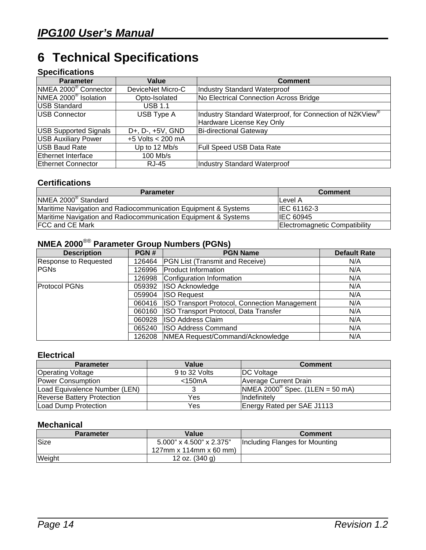# <span id="page-17-0"></span>**6 Technical Specifications**

#### **Specifications**

| <b>Parameter</b>                 | Value                            | <b>Comment</b>                                                                        |
|----------------------------------|----------------------------------|---------------------------------------------------------------------------------------|
| NMEA 2000 <sup>®</sup> Connector | DeviceNet Micro-C                | <b>Industry Standard Waterproof</b>                                                   |
| NMEA 2000 <sup>®</sup> Isolation | Opto-Isolated                    | No Electrical Connection Across Bridge                                                |
| <b>USB Standard</b>              | <b>USB 1.1</b>                   |                                                                                       |
| <b>USB Connector</b>             | USB Type A                       | Industry Standard Waterproof, for Connection of N2KView®<br>Hardware License Key Only |
| <b>USB Supported Signals</b>     | D+, D-, +5V, GND                 | Bi-directional Gateway                                                                |
| <b>USB Auxiliary Power</b>       | +5 Volts $\sqrt{200 \text{ mA}}$ |                                                                                       |
| <b>USB Baud Rate</b>             | Up to 12 Mb/s                    | Full Speed USB Data Rate                                                              |
| <b>Ethernet Interface</b>        | 100 Mb/s                         |                                                                                       |
| Ethernet Connector               | RJ-45                            | <b>Industry Standard Waterproof</b>                                                   |

#### **Certifications**

| <b>Parameter</b>                                               | <b>Comment</b>                |
|----------------------------------------------------------------|-------------------------------|
| NMEA 2000 <sup>®</sup> Standard                                | lLevel A                      |
| Maritime Navigation and Radiocommunication Equipment & Systems | IEC 61162-3                   |
| Maritime Navigation and Radiocommunication Equipment & Systems | <b>IEC 60945</b>              |
| <b>FCC and CE Mark</b>                                         | Electromagnetic Compatibility |

## **NMEA 2000**®® **Parameter Group Numbers (PGNs)**

| <b>Description</b>    | PGN#   | <b>PGN Name</b>                               | <b>Default Rate</b> |
|-----------------------|--------|-----------------------------------------------|---------------------|
| Response to Requested | 126464 | <b>PGN List (Transmit and Receive)</b>        | N/A                 |
| <b>PGNs</b>           | 126996 | <b>Product Information</b>                    | N/A                 |
|                       | 126998 | Configuration Information                     | N/A                 |
| <b>Protocol PGNs</b>  | 059392 | ISO Acknowledge                               | N/A                 |
|                       | 059904 | <b>ISO Request</b>                            | N/A                 |
|                       | 060416 | ISO Transport Protocol, Connection Management | N/A                 |
|                       | 060160 | ISO Transport Protocol, Data Transfer         | N/A                 |
|                       | 060928 | <b>ISO Address Claim</b>                      | N/A                 |
|                       | 065240 | <b>ISO Address Command</b>                    | N/A                 |
|                       | 126208 | NMEA Request/Command/Acknowledge              | N/A                 |

#### **Electrical**

| <b>Parameter</b>                  | Value         | <b>Comment</b>                                             |
|-----------------------------------|---------------|------------------------------------------------------------|
| <b>Operating Voltage</b>          | 9 to 32 Volts | <b>IDC Voltage</b>                                         |
| Power Consumption                 | $<$ 150 $mA$  | Average Current Drain                                      |
| Load Equivalence Number (LEN)     |               | $\overline{\text{NMEA 2000}^{\circ}}$ Spec. (1LEN = 50 mA) |
| <b>Reverse Battery Protection</b> | Yes           | <b>Indefinitely</b>                                        |
| Load Dump Protection              | Yes           | Energy Rated per SAE J1113                                 |

#### **Mechanical**

| <b>Parameter</b> | Value                    | <b>Comment</b>                 |
|------------------|--------------------------|--------------------------------|
| <b>Size</b>      | 5.000" x 4.500" x 2.375" | Including Flanges for Mounting |
|                  | 127mm x 114mm x 60 mm)   |                                |
| Weight           | 12 oz. (340 g)           |                                |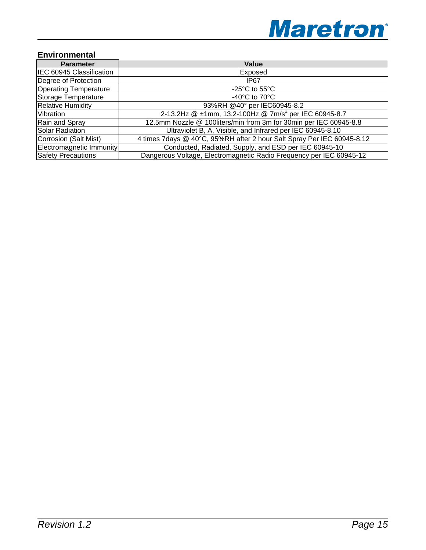

#### **Environmental**

| <b>Parameter</b>             | Value                                                                  |
|------------------------------|------------------------------------------------------------------------|
| IEC 60945 Classification     | Exposed                                                                |
| Degree of Protection         | IP67                                                                   |
| <b>Operating Temperature</b> | -25 $\mathrm{^{\circ}C}$ to 55 $\mathrm{^{\circ}C}$                    |
| Storage Temperature          | -40 $^{\circ}$ C to 70 $^{\circ}$ C                                    |
| <b>Relative Humidity</b>     | 93%RH @40° per IEC60945-8.2                                            |
| Vibration                    | 2-13.2Hz @ ±1mm, 13.2-100Hz @ 7m/s <sup>2</sup> per IEC 60945-8.7      |
| Rain and Spray               | 12.5mm Nozzle @ 100liters/min from 3m for 30min per IEC 60945-8.8      |
| Solar Radiation              | Ultraviolet B, A, Visible, and Infrared per IEC 60945-8.10             |
| Corrosion (Salt Mist)        | 4 times 7days @ 40°C, 95%RH after 2 hour Salt Spray Per IEC 60945-8.12 |
| Electromagnetic Immunity     | Conducted, Radiated, Supply, and ESD per IEC 60945-10                  |
| <b>Safety Precautions</b>    | Dangerous Voltage, Electromagnetic Radio Frequency per IEC 60945-12    |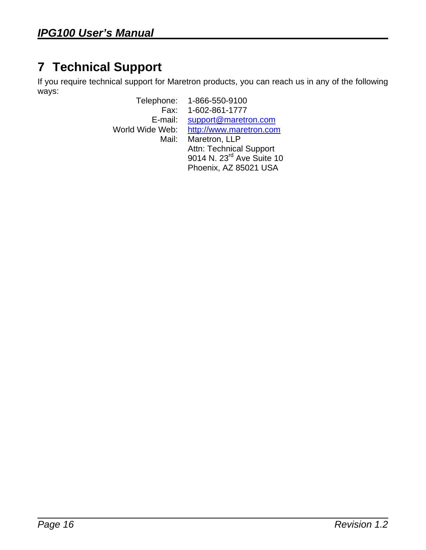# <span id="page-19-0"></span>**7 Technical Support**

If you require technical support for Maretron products, you can reach us in any of the following ways:

Telephone: 1-866-550-9100 Fax: 1-602-861-1777 E-mail: support@maretron.com World Wide Web: http://www.maretron.com Mail: Maretron, LLP Attn: Technical Support 9014 N. 23<sup>rd</sup> Ave Suite 10 Phoenix, AZ 85021 USA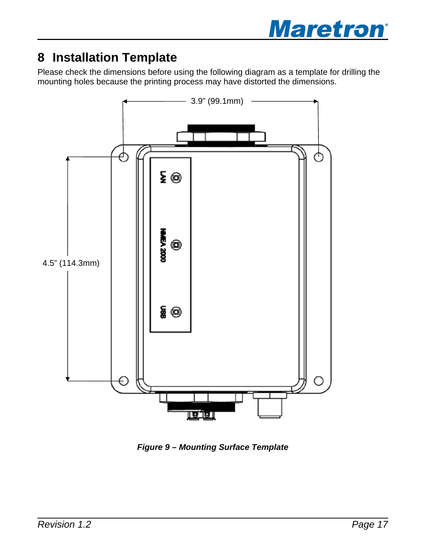

# <span id="page-20-0"></span>**8 Installation Template**

Please check the dimensions before using the following diagram as a template for drilling the mounting holes because the printing process may have distorted the dimensions.



*Figure 9 – Mounting Surface Template*